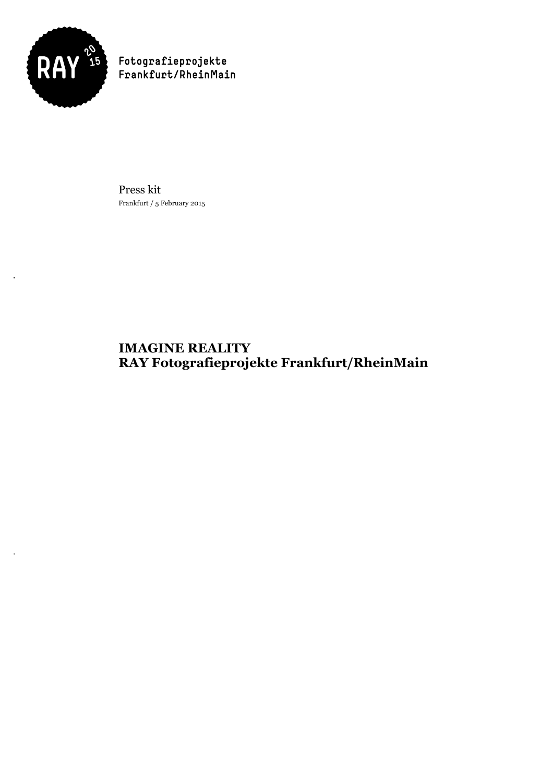

Press kit Frankfurt / 5 February 2015

# **IMAGINE REALITY RAY Fotografieprojekte Frankfurt/RheinMain**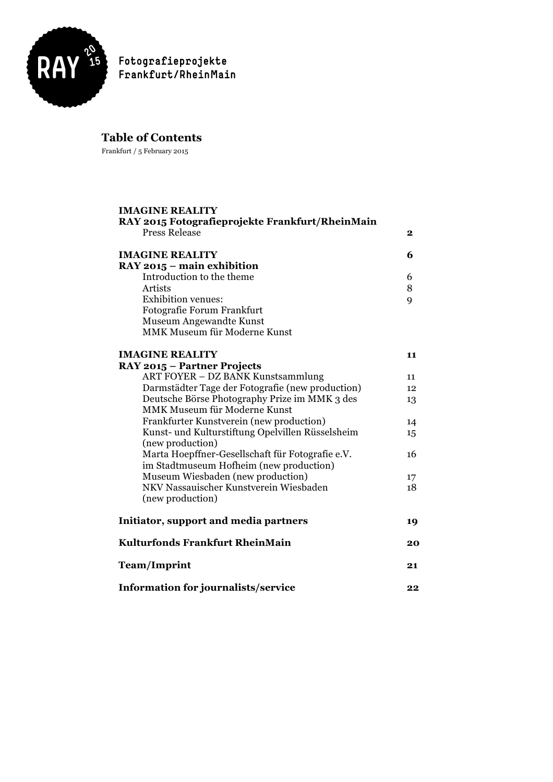

# **Table of Contents**

Frankfurt / 5 February 2015

| <b>IMAGINE REALITY</b><br>RAY 2015 Fotografieprojekte Frankfurt/RheinMain |    |
|---------------------------------------------------------------------------|----|
| <b>Press Release</b>                                                      | 2  |
| <b>IMAGINE REALITY</b>                                                    | 6  |
| RAY 2015 - main exhibition                                                |    |
| Introduction to the theme                                                 | 6  |
| <b>Artists</b>                                                            | 8  |
| Exhibition venues:                                                        | 9  |
| Fotografie Forum Frankfurt                                                |    |
| Museum Angewandte Kunst                                                   |    |
| MMK Museum für Moderne Kunst                                              |    |
| <b>IMAGINE REALITY</b>                                                    | 11 |
| RAY 2015 - Partner Projects                                               |    |
| ART FOYER - DZ BANK Kunstsammlung                                         | 11 |
| Darmstädter Tage der Fotografie (new production)                          | 12 |
| Deutsche Börse Photography Prize im MMK 3 des                             | 13 |
| MMK Museum für Moderne Kunst                                              |    |
| Frankfurter Kunstverein (new production)                                  | 14 |
| Kunst- und Kulturstiftung Opelvillen Rüsselsheim<br>(new production)      | 15 |
| Marta Hoepffner-Gesellschaft für Fotografie e.V.                          | 16 |
| im Stadtmuseum Hofheim (new production)                                   |    |
| Museum Wiesbaden (new production)                                         | 17 |
| NKV Nassauischer Kunstverein Wiesbaden                                    | 18 |
| (new production)                                                          |    |
| Initiator, support and media partners                                     | 19 |
| Kulturfonds Frankfurt RheinMain                                           | 20 |
| <b>Team/Imprint</b>                                                       | 21 |
| Information for journalists/service                                       | 22 |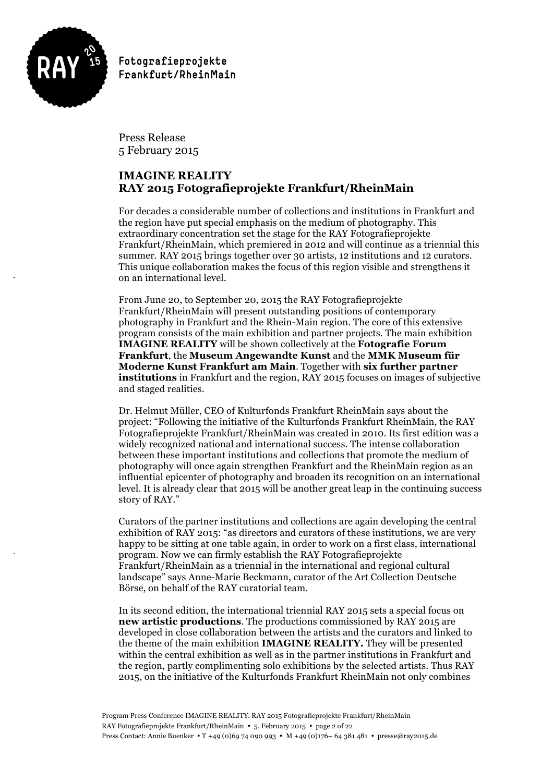

Press Release 5 February 2015

# **IMAGINE REALITY RAY 2015 Fotografieprojekte Frankfurt/RheinMain**

For decades a considerable number of collections and institutions in Frankfurt and the region have put special emphasis on the medium of photography. This extraordinary concentration set the stage for the RAY Fotografieprojekte Frankfurt/RheinMain, which premiered in 2012 and will continue as a triennial this summer. RAY 2015 brings together over 30 artists, 12 institutions and 12 curators. This unique collaboration makes the focus of this region visible and strengthens it on an international level.

From June 20, to September 20, 2015 the RAY Fotografieprojekte Frankfurt/RheinMain will present outstanding positions of contemporary photography in Frankfurt and the Rhein-Main region. The core of this extensive program consists of the main exhibition and partner projects. The main exhibition **IMAGINE REALITY** will be shown collectively at the **Fotografie Forum Frankfurt**, the **Museum Angewandte Kunst** and the **MMK Museum für Moderne Kunst Frankfurt am Main**. Together with **six further partner institutions** in Frankfurt and the region, RAY 2015 focuses on images of subjective and staged realities.

Dr. Helmut Müller, CEO of Kulturfonds Frankfurt RheinMain says about the project: "Following the initiative of the Kulturfonds Frankfurt RheinMain, the RAY Fotografieprojekte Frankfurt/RheinMain was created in 2010. Its first edition was a widely recognized national and international success. The intense collaboration between these important institutions and collections that promote the medium of photography will once again strengthen Frankfurt and the RheinMain region as an influential epicenter of photography and broaden its recognition on an international level. It is already clear that 2015 will be another great leap in the continuing success story of RAY."

Curators of the partner institutions and collections are again developing the central exhibition of RAY 2015: "as directors and curators of these institutions, we are very happy to be sitting at one table again, in order to work on a first class, international program. Now we can firmly establish the RAY Fotografieprojekte Frankfurt/RheinMain as a triennial in the international and regional cultural landscape" says Anne-Marie Beckmann, curator of the Art Collection Deutsche Börse, on behalf of the RAY curatorial team.

In its second edition, the international triennial RAY 2015 sets a special focus on **new artistic productions**. The productions commissioned by RAY 2015 are developed in close collaboration between the artists and the curators and linked to the theme of the main exhibition **IMAGINE REALITY.** They will be presented within the central exhibition as well as in the partner institutions in Frankfurt and the region, partly complimenting solo exhibitions by the selected artists. Thus RAY 2015, on the initiative of the Kulturfonds Frankfurt RheinMain not only combines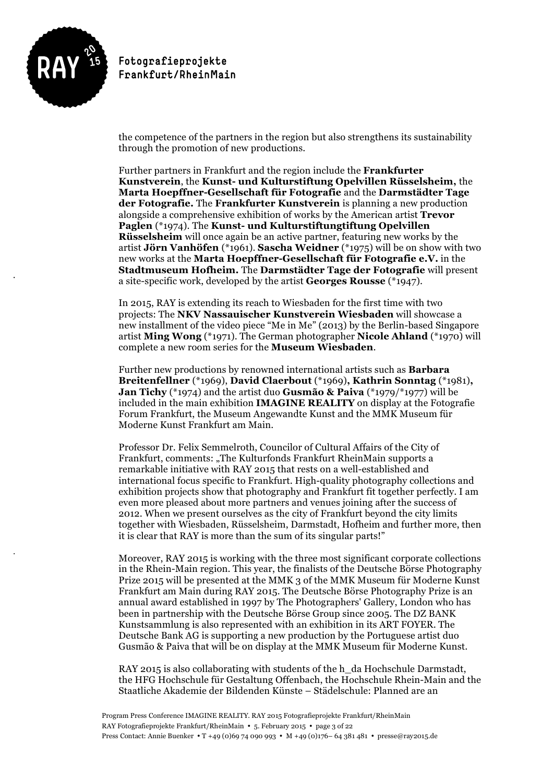

the competence of the partners in the region but also strengthens its sustainability through the promotion of new productions.

Further partners in Frankfurt and the region include the **Frankfurter Kunstverein**, the **Kunst- und Kulturstiftung Opelvillen Rüsselsheim,** the **Marta Hoepffner-Gesellschaft für Fotografie** and the **Darmstädter Tage der Fotografie.** The **Frankfurter Kunstverein** is planning a new production alongside a comprehensive exhibition of works by the American artist **Trevor Paglen** (\*1974). The **Kunst- und Kulturstiftungtiftung Opelvillen Rüsselsheim** will once again be an active partner, featuring new works by the artist **Jörn Vanhöfen** (\*1961). **Sascha Weidner** (\*1975) will be on show with two new works at the **Marta Hoepffner-Gesellschaft für Fotografie e.V.** in the **Stadtmuseum Hofheim.** The **Darmstädter Tage der Fotografie** will present a site-specific work, developed by the artist **Georges Rousse** (\*1947).

In 2015, RAY is extending its reach to Wiesbaden for the first time with two projects: The **NKV Nassauischer Kunstverein Wiesbaden** will showcase a new installment of the video piece "Me in Me" (2013) by the Berlin-based Singapore artist **Ming Wong** (\*1971). The German photographer **Nicole Ahland** (\*1970) will complete a new room series for the **Museum Wiesbaden**.

Further new productions by renowned international artists such as **Barbara Breitenfellner** (\*1969), **David Claerbout** (\*1969)**, Kathrin Sonntag** (\*1981)**, Jan Tichy** (\*1974) and the artist duo **Gusmão & Paiva** (\*1979/\*1977) will be included in the main exhibition **IMAGINE REALITY** on display at the Fotografie Forum Frankfurt, the Museum Angewandte Kunst and the MMK Museum für Moderne Kunst Frankfurt am Main.

Professor Dr. Felix Semmelroth, Councilor of Cultural Affairs of the City of Frankfurt, comments: "The Kulturfonds Frankfurt RheinMain supports a remarkable initiative with RAY 2015 that rests on a well-established and international focus specific to Frankfurt. High-quality photography collections and exhibition projects show that photography and Frankfurt fit together perfectly. I am even more pleased about more partners and venues joining after the success of 2012. When we present ourselves as the city of Frankfurt beyond the city limits together with Wiesbaden, Rüsselsheim, Darmstadt, Hofheim and further more, then it is clear that RAY is more than the sum of its singular parts!"

Moreover, RAY 2015 is working with the three most significant corporate collections in the Rhein-Main region. This year, the finalists of the Deutsche Börse Photography Prize 2015 will be presented at the MMK 3 of the MMK Museum für Moderne Kunst Frankfurt am Main during RAY 2015. The Deutsche Börse Photography Prize is an annual award established in 1997 by The Photographers' Gallery, London who has been in partnership with the Deutsche Börse Group since 2005. The DZ BANK Kunstsammlung is also represented with an exhibition in its ART FOYER. The Deutsche Bank AG is supporting a new production by the Portuguese artist duo Gusmão & Paiva that will be on display at the MMK Museum für Moderne Kunst.

RAY 2015 is also collaborating with students of the h\_da Hochschule Darmstadt, the HFG Hochschule für Gestaltung Offenbach, the Hochschule Rhein-Main and the Staatliche Akademie der Bildenden Künste – Städelschule: Planned are an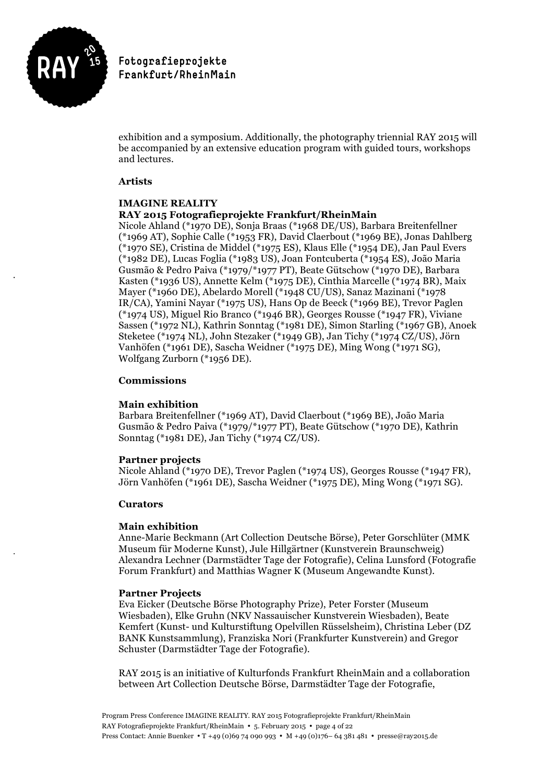

exhibition and a symposium. Additionally, the photography triennial RAY 2015 will be accompanied by an extensive education program with guided tours, workshops and lectures.

#### **Artists**

#### **IMAGINE REALITY RAY 2015 Fotografieprojekte Frankfurt/RheinMain**

Nicole Ahland (\*1970 DE), Sonja Braas (\*1968 DE/US), Barbara Breitenfellner (\*1969 AT), Sophie Calle (\*1953 FR), David Claerbout (\*1969 BE), Jonas Dahlberg (\*1970 SE), Cristina de Middel (\*1975 ES), Klaus Elle (\*1954 DE), Jan Paul Evers (\*1982 DE), Lucas Foglia (\*1983 US), Joan Fontcuberta (\*1954 ES), João Maria Gusmão & Pedro Paiva (\*1979/\*1977 PT), Beate Gütschow (\*1970 DE), Barbara Kasten (\*1936 US), Annette Kelm (\*1975 DE), Cinthia Marcelle (\*1974 BR), Maix Mayer (\*1960 DE), Abelardo Morell (\*1948 CU/US), Sanaz Mazinani (\*1978 IR/CA), Yamini Nayar (\*1975 US), Hans Op de Beeck (\*1969 BE), Trevor Paglen (\*1974 US), Miguel Rio Branco (\*1946 BR), Georges Rousse (\*1947 FR), Viviane Sassen (\*1972 NL), Kathrin Sonntag (\*1981 DE), Simon Starling (\*1967 GB), Anoek Steketee (\*1974 NL), John Stezaker (\*1949 GB), Jan Tichy (\*1974 CZ/US), Jörn Vanhöfen (\*1961 DE), Sascha Weidner (\*1975 DE), Ming Wong (\*1971 SG), Wolfgang Zurborn (\*1956 DE).

### **Commissions**

### **Main exhibition**

Barbara Breitenfellner (\*1969 AT), David Claerbout (\*1969 BE), João Maria Gusmão & Pedro Paiva (\*1979/\*1977 PT), Beate Gütschow (\*1970 DE), Kathrin Sonntag (\*1981 DE), Jan Tichy (\*1974 CZ/US).

### **Partner projects**

Nicole Ahland (\*1970 DE), Trevor Paglen (\*1974 US), Georges Rousse (\*1947 FR), Jörn Vanhöfen (\*1961 DE), Sascha Weidner (\*1975 DE), Ming Wong (\*1971 SG).

### **Curators**

### **Main exhibition**

Anne-Marie Beckmann (Art Collection Deutsche Börse), Peter Gorschlüter (MMK Museum für Moderne Kunst), Jule Hillgärtner (Kunstverein Braunschweig) Alexandra Lechner (Darmstädter Tage der Fotografie), Celina Lunsford (Fotografie Forum Frankfurt) and Matthias Wagner K (Museum Angewandte Kunst).

### **Partner Projects**

Eva Eicker (Deutsche Börse Photography Prize), Peter Forster (Museum Wiesbaden), Elke Gruhn (NKV Nassauischer Kunstverein Wiesbaden), Beate Kemfert (Kunst- und Kulturstiftung Opelvillen Rüsselsheim), Christina Leber (DZ BANK Kunstsammlung), Franziska Nori (Frankfurter Kunstverein) and Gregor Schuster (Darmstädter Tage der Fotografie).

RAY 2015 is an initiative of Kulturfonds Frankfurt RheinMain and a collaboration between Art Collection Deutsche Börse, Darmstädter Tage der Fotografie,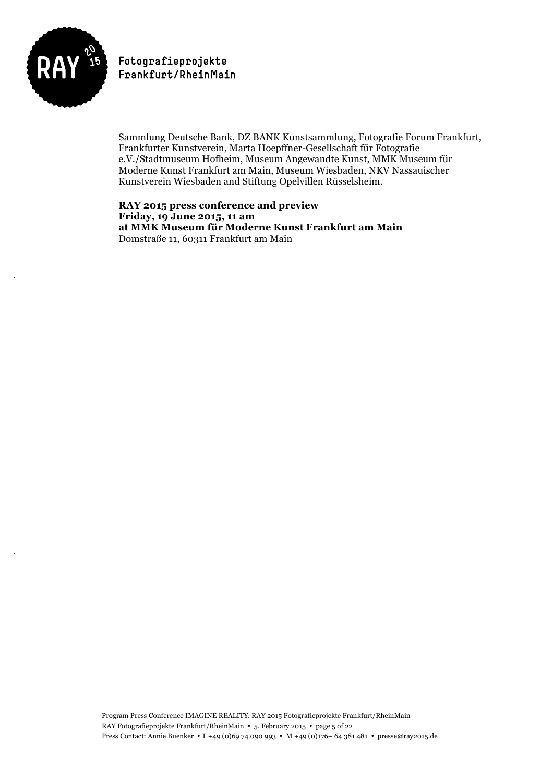

Sammlung Deutsche Bank, DZ BANK Kunstsammlung, Fotografie Forum Frankfurt, Frankfurter Kunstverein, Marta Hoepffner-Gesellschaft für Fotografie e.V./Stadtmuseum Hofheim, Museum Angewandte Kunst, MMK Museum für Moderne Kunst Frankfurt am Main, Museum Wiesbaden, NKV Nassauischer Kunstverein Wiesbaden and Stiftung Opelvillen Rüsselsheim.

**RAY 2015 press conference and preview Friday, 19 June 2015, 11 am at MMK Museum für Moderne Kunst Frankfurt am Main** Domstraße 11, 60311 Frankfurt am Main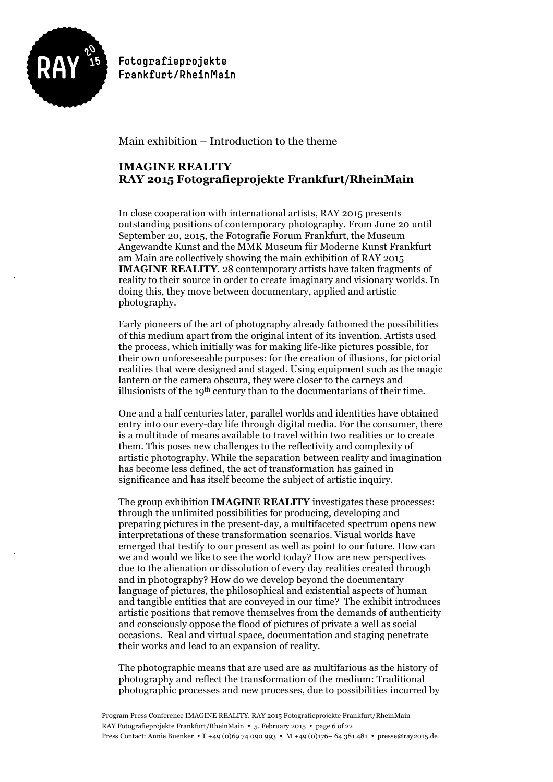

Main exhibition – Introduction to the theme

# **IMAGINE REALITY RAY 2015 Fotografieprojekte Frankfurt/RheinMain**

In close cooperation with international artists, RAY 2015 presents outstanding positions of contemporary photography. From June 20 until September 20, 2015, the Fotografie Forum Frankfurt, the Museum Angewandte Kunst and the MMK Museum für Moderne Kunst Frankfurt am Main are collectively showing the main exhibition of RAY 2015 **IMAGINE REALITY**. 28 contemporary artists have taken fragments of reality to their source in order to create imaginary and visionary worlds. In doing this, they move between documentary, applied and artistic photography.

Early pioneers of the art of photography already fathomed the possibilities of this medium apart from the original intent of its invention. Artists used the process, which initially was for making life-like pictures possible, for their own unforeseeable purposes: for the creation of illusions, for pictorial realities that were designed and staged. Using equipment such as the magic lantern or the camera obscura, they were closer to the carneys and illusionists of the 19<sup>th</sup> century than to the documentarians of their time.

One and a half centuries later, parallel worlds and identities have obtained entry into our every-day life through digital media. For the consumer, there is a multitude of means available to travel within two realities or to create them. This poses new challenges to the reflectivity and complexity of artistic photography. While the separation between reality and imagination has become less defined, the act of transformation has gained in significance and has itself become the subject of artistic inquiry.

The group exhibition **IMAGINE REALITY** investigates these processes: through the unlimited possibilities for producing, developing and preparing pictures in the present-day, a multifaceted spectrum opens new interpretations of these transformation scenarios. Visual worlds have emerged that testify to our present as well as point to our future. How can we and would we like to see the world today? How are new perspectives due to the alienation or dissolution of every day realities created through and in photography? How do we develop beyond the documentary language of pictures, the philosophical and existential aspects of human and tangible entities that are conveyed in our time? The exhibit introduces artistic positions that remove themselves from the demands of authenticity and consciously oppose the flood of pictures of private a well as social occasions. Real and virtual space, documentation and staging penetrate their works and lead to an expansion of reality.

The photographic means that are used are as multifarious as the history of photography and reflect the transformation of the medium: Traditional photographic processes and new processes, due to possibilities incurred by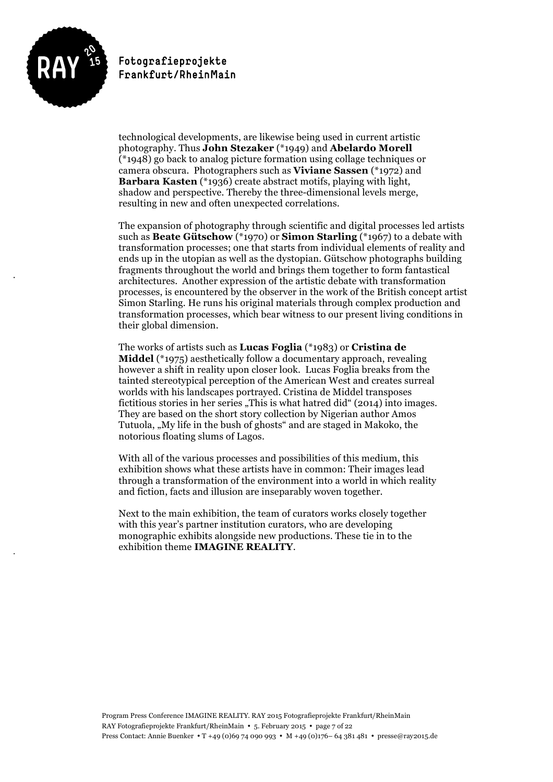

technological developments, are likewise being used in current artistic photography. Thus **John Stezaker** (\*1949) and **Abelardo Morell** (\*1948) go back to analog picture formation using collage techniques or camera obscura. Photographers such as **Viviane Sassen** (\*1972) and **Barbara Kasten** (\*1936) create abstract motifs, playing with light, shadow and perspective. Thereby the three-dimensional levels merge, resulting in new and often unexpected correlations.

The expansion of photography through scientific and digital processes led artists such as **Beate Gütschow** (\*1970) or **Simon Starling** (\*1967) to a debate with transformation processes; one that starts from individual elements of reality and ends up in the utopian as well as the dystopian. Gütschow photographs building fragments throughout the world and brings them together to form fantastical architectures. Another expression of the artistic debate with transformation processes, is encountered by the observer in the work of the British concept artist Simon Starling. He runs his original materials through complex production and transformation processes, which bear witness to our present living conditions in their global dimension. 

The works of artists such as **Lucas Foglia** (\*1983) or **Cristina de Middel** (\*1975) aesthetically follow a documentary approach, revealing however a shift in reality upon closer look. Lucas Foglia breaks from the tainted stereotypical perception of the American West and creates surreal worlds with his landscapes portrayed. Cristina de Middel transposes fictitious stories in her series "This is what hatred did" (2014) into images. They are based on the short story collection by Nigerian author Amos Tutuola, "My life in the bush of ghosts" and are staged in Makoko, the notorious floating slums of Lagos.

With all of the various processes and possibilities of this medium, this exhibition shows what these artists have in common: Their images lead through a transformation of the environment into a world in which reality and fiction, facts and illusion are inseparably woven together.

Next to the main exhibition, the team of curators works closely together with this year's partner institution curators, who are developing monographic exhibits alongside new productions. These tie in to the exhibition theme **IMAGINE REALITY**.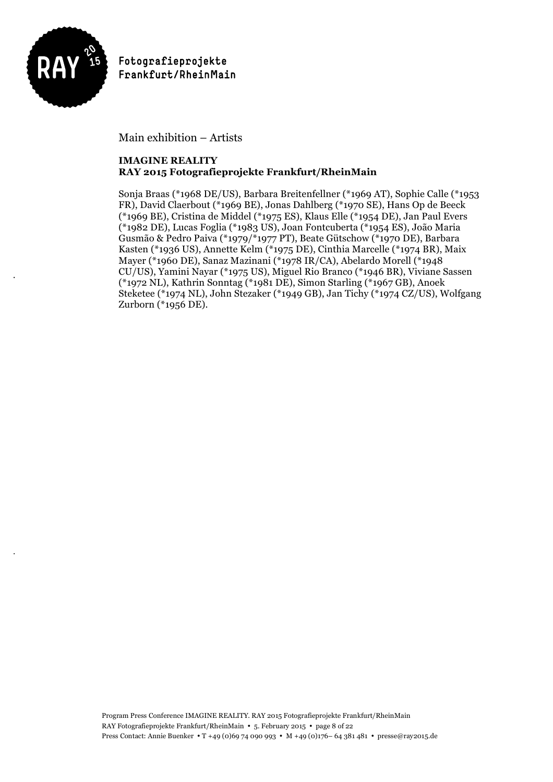

Main exhibition – Artists

### **IMAGINE REALITY RAY 2015 Fotografieprojekte Frankfurt/RheinMain**

Sonja Braas (\*1968 DE/US), Barbara Breitenfellner (\*1969 AT), Sophie Calle (\*1953 FR), David Claerbout (\*1969 BE), Jonas Dahlberg (\*1970 SE), Hans Op de Beeck (\*1969 BE), Cristina de Middel (\*1975 ES), Klaus Elle (\*1954 DE), Jan Paul Evers (\*1982 DE), Lucas Foglia (\*1983 US), Joan Fontcuberta (\*1954 ES), João Maria Gusmão & Pedro Paiva (\*1979/\*1977 PT), Beate Gütschow (\*1970 DE), Barbara Kasten (\*1936 US), Annette Kelm (\*1975 DE), Cinthia Marcelle (\*1974 BR), Maix Mayer (\*1960 DE), Sanaz Mazinani (\*1978 IR/CA), Abelardo Morell (\*1948 CU/US), Yamini Nayar (\*1975 US), Miguel Rio Branco (\*1946 BR), Viviane Sassen (\*1972 NL), Kathrin Sonntag (\*1981 DE), Simon Starling (\*1967 GB), Anoek Steketee (\*1974 NL), John Stezaker (\*1949 GB), Jan Tichy (\*1974 CZ/US), Wolfgang Zurborn (\*1956 DE).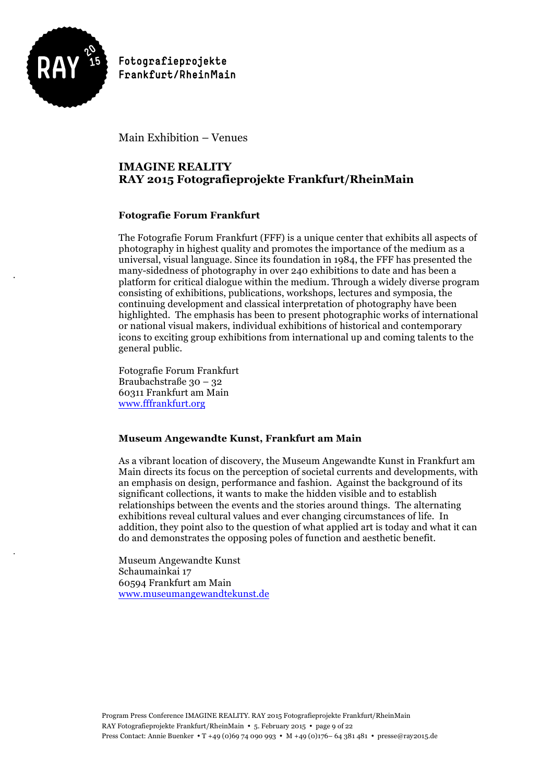

Main Exhibition – Venues

# **IMAGINE REALITY RAY 2015 Fotografieprojekte Frankfurt/RheinMain**

### **Fotografie Forum Frankfurt**

The Fotografie Forum Frankfurt (FFF) is a unique center that exhibits all aspects of photography in highest quality and promotes the importance of the medium as a universal, visual language. Since its foundation in 1984, the FFF has presented the many-sidedness of photography in over 240 exhibitions to date and has been a platform for critical dialogue within the medium. Through a widely diverse program consisting of exhibitions, publications, workshops, lectures and symposia, the continuing development and classical interpretation of photography have been highlighted. The emphasis has been to present photographic works of international or national visual makers, individual exhibitions of historical and contemporary icons to exciting group exhibitions from international up and coming talents to the general public.

Fotografie Forum Frankfurt Braubachstraße 30 – 32 60311 Frankfurt am Main www.fffrankfurt.org

### **Museum Angewandte Kunst, Frankfurt am Main**

As a vibrant location of discovery, the Museum Angewandte Kunst in Frankfurt am Main directs its focus on the perception of societal currents and developments, with an emphasis on design, performance and fashion. Against the background of its significant collections, it wants to make the hidden visible and to establish relationships between the events and the stories around things. The alternating exhibitions reveal cultural values and ever changing circumstances of life. In addition, they point also to the question of what applied art is today and what it can do and demonstrates the opposing poles of function and aesthetic benefit.

Museum Angewandte Kunst Schaumainkai 17 60594 Frankfurt am Main www.museumangewandtekunst.de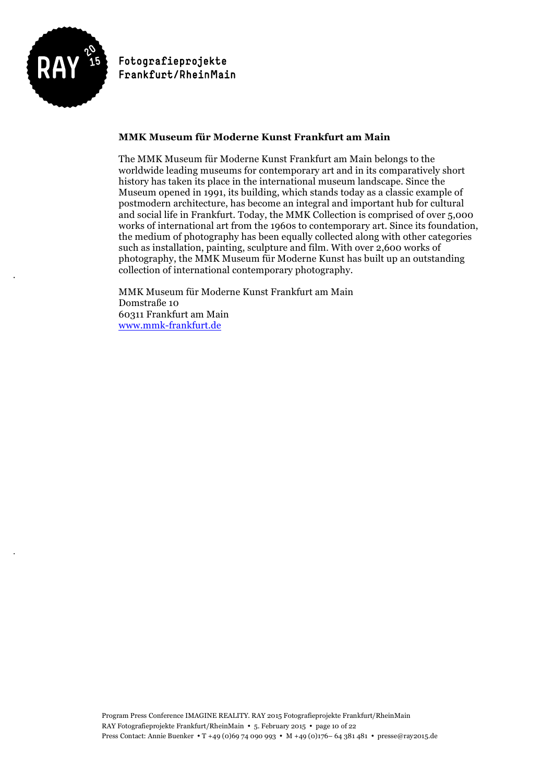

### **MMK Museum für Moderne Kunst Frankfurt am Main**

The MMK Museum für Moderne Kunst Frankfurt am Main belongs to the worldwide leading museums for contemporary art and in its comparatively short history has taken its place in the international museum landscape. Since the Museum opened in 1991, its building, which stands today as a classic example of postmodern architecture, has become an integral and important hub for cultural and social life in Frankfurt. Today, the MMK Collection is comprised of over 5,000 works of international art from the 1960s to contemporary art. Since its foundation, the medium of photography has been equally collected along with other categories such as installation, painting, sculpture and film. With over 2,600 works of photography, the MMK Museum für Moderne Kunst has built up an outstanding collection of international contemporary photography.

MMK Museum für Moderne Kunst Frankfurt am Main Domstraße 10 60311 Frankfurt am Main www.mmk-frankfurt.de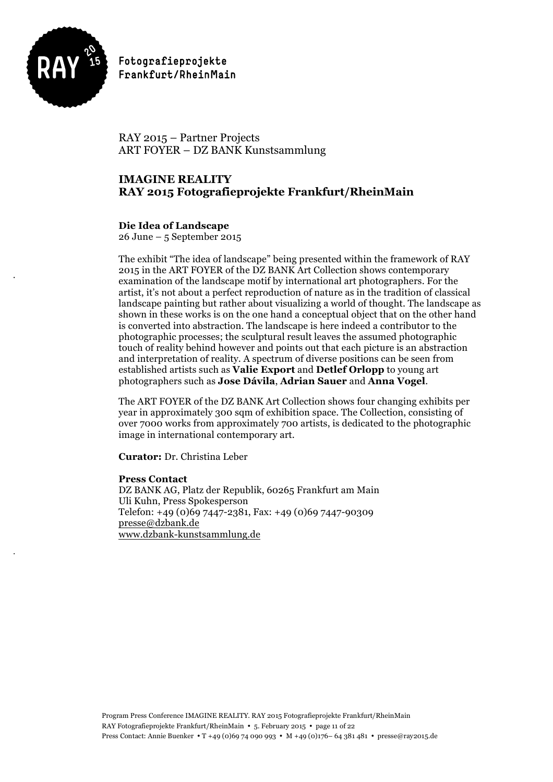

RAY 2015 – Partner Projects ART FOYER – DZ BANK Kunstsammlung

# **IMAGINE REALITY RAY 2015 Fotografieprojekte Frankfurt/RheinMain**

### **Die Idea of Landscape**

26 June – 5 September 2015

The exhibit "The idea of landscape" being presented within the framework of RAY 2015 in the ART FOYER of the DZ BANK Art Collection shows contemporary examination of the landscape motif by international art photographers. For the artist, it's not about a perfect reproduction of nature as in the tradition of classical landscape painting but rather about visualizing a world of thought. The landscape as shown in these works is on the one hand a conceptual object that on the other hand is converted into abstraction. The landscape is here indeed a contributor to the photographic processes; the sculptural result leaves the assumed photographic touch of reality behind however and points out that each picture is an abstraction and interpretation of reality. A spectrum of diverse positions can be seen from established artists such as **Valie Export** and **Detlef Orlopp** to young art photographers such as **Jose Dávila**, **Adrian Sauer** and **Anna Vogel**.

The ART FOYER of the DZ BANK Art Collection shows four changing exhibits per year in approximately 300 sqm of exhibition space. The Collection, consisting of over 7000 works from approximately 700 artists, is dedicated to the photographic image in international contemporary art.

**Curator:** Dr. Christina Leber

#### **Press Contact**

DZ BANK AG, Platz der Republik, 60265 Frankfurt am Main Uli Kuhn, Press Spokesperson Telefon: +49 (0)69 7447-2381, Fax: +49 (0)69 7447-90309 presse@dzbank.de www.dzbank-kunstsammlung.de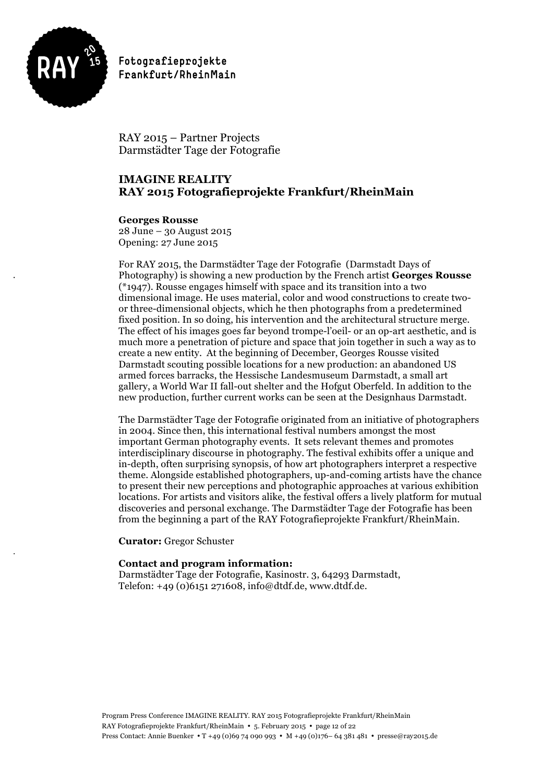

RAY 2015 – Partner Projects Darmstädter Tage der Fotografie

# **IMAGINE REALITY RAY 2015 Fotografieprojekte Frankfurt/RheinMain**

### **Georges Rousse**

28 June – 30 August 2015 Opening: 27 June 2015

For RAY 2015, the Darmstädter Tage der Fotografie (Darmstadt Days of Photography) is showing a new production by the French artist **Georges Rousse** (\*1947). Rousse engages himself with space and its transition into a two dimensional image. He uses material, color and wood constructions to create twoor three-dimensional objects, which he then photographs from a predetermined fixed position. In so doing, his intervention and the architectural structure merge. The effect of his images goes far beyond trompe-l'oeil- or an op-art aesthetic, and is much more a penetration of picture and space that join together in such a way as to create a new entity. At the beginning of December, Georges Rousse visited Darmstadt scouting possible locations for a new production: an abandoned US armed forces barracks, the Hessische Landesmuseum Darmstadt, a small art gallery, a World War II fall-out shelter and the Hofgut Oberfeld. In addition to the new production, further current works can be seen at the Designhaus Darmstadt.

The Darmstädter Tage der Fotografie originated from an initiative of photographers in 2004. Since then, this international festival numbers amongst the most important German photography events. It sets relevant themes and promotes interdisciplinary discourse in photography. The festival exhibits offer a unique and in-depth, often surprising synopsis, of how art photographers interpret a respective theme. Alongside established photographers, up-and-coming artists have the chance to present their new perceptions and photographic approaches at various exhibition locations. For artists and visitors alike, the festival offers a lively platform for mutual discoveries and personal exchange. The Darmstädter Tage der Fotografie has been from the beginning a part of the RAY Fotografieprojekte Frankfurt/RheinMain.

**Curator:** Gregor Schuster

### **Contact and program information:**

Darmstädter Tage der Fotografie, Kasinostr. 3, 64293 Darmstadt, Telefon: +49 (0)6151 271608, info@dtdf.de, www.dtdf.de.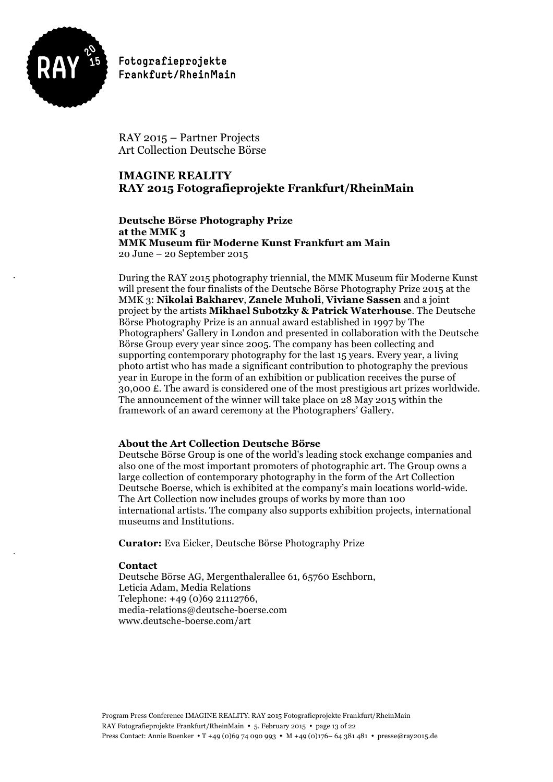

RAY 2015 – Partner Projects Art Collection Deutsche Börse

# **IMAGINE REALITY RAY 2015 Fotografieprojekte Frankfurt/RheinMain**

**Deutsche Börse Photography Prize at the MMK 3 MMK Museum für Moderne Kunst Frankfurt am Main** 20 June – 20 September 2015

During the RAY 2015 photography triennial, the MMK Museum für Moderne Kunst will present the four finalists of the Deutsche Börse Photography Prize 2015 at the MMK 3: **Nikolai Bakharev**, **Zanele Muholi**, **Viviane Sassen** and a joint project by the artists **Mikhael Subotzky & Patrick Waterhouse**. The Deutsche Börse Photography Prize is an annual award established in 1997 by The Photographers' Gallery in London and presented in collaboration with the Deutsche Börse Group every year since 2005. The company has been collecting and supporting contemporary photography for the last 15 years. Every year, a living photo artist who has made a significant contribution to photography the previous year in Europe in the form of an exhibition or publication receives the purse of 30,000 £. The award is considered one of the most prestigious art prizes worldwide. The announcement of the winner will take place on 28 May 2015 within the framework of an award ceremony at the Photographers' Gallery.

### **About the Art Collection Deutsche Börse**

Deutsche Börse Group is one of the world's leading stock exchange companies and also one of the most important promoters of photographic art. The Group owns a large collection of contemporary photography in the form of the Art Collection Deutsche Boerse, which is exhibited at the company's main locations world-wide. The Art Collection now includes groups of works by more than 100 international artists. The company also supports exhibition projects, international museums and Institutions.

**Curator:** Eva Eicker, Deutsche Börse Photography Prize

### **Contact**

Deutsche Börse AG, Mergenthalerallee 61, 65760 Eschborn, Leticia Adam, Media Relations Telephone: +49 (0)69 21112766, media-relations@deutsche-boerse.com www.deutsche-boerse.com/art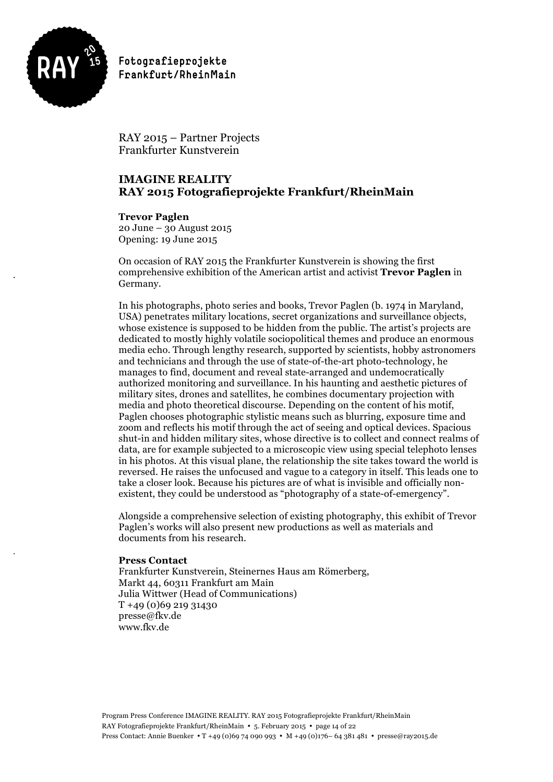

RAY 2015 – Partner Projects Frankfurter Kunstverein

# **IMAGINE REALITY RAY 2015 Fotografieprojekte Frankfurt/RheinMain**

**Trevor Paglen** 20 June – 30 August 2015 Opening: 19 June 2015

On occasion of RAY 2015 the Frankfurter Kunstverein is showing the first comprehensive exhibition of the American artist and activist **Trevor Paglen** in Germany.

In his photographs, photo series and books, Trevor Paglen (b. 1974 in Maryland, USA) penetrates military locations, secret organizations and surveillance objects, whose existence is supposed to be hidden from the public. The artist's projects are dedicated to mostly highly volatile sociopolitical themes and produce an enormous media echo. Through lengthy research, supported by scientists, hobby astronomers and technicians and through the use of state-of-the-art photo-technology, he manages to find, document and reveal state-arranged and undemocratically authorized monitoring and surveillance. In his haunting and aesthetic pictures of military sites, drones and satellites, he combines documentary projection with media and photo theoretical discourse. Depending on the content of his motif, Paglen chooses photographic stylistic means such as blurring, exposure time and zoom and reflects his motif through the act of seeing and optical devices. Spacious shut-in and hidden military sites, whose directive is to collect and connect realms of data, are for example subjected to a microscopic view using special telephoto lenses in his photos. At this visual plane, the relationship the site takes toward the world is reversed. He raises the unfocused and vague to a category in itself. This leads one to take a closer look. Because his pictures are of what is invisible and officially nonexistent, they could be understood as "photography of a state-of-emergency".

Alongside a comprehensive selection of existing photography, this exhibit of Trevor Paglen's works will also present new productions as well as materials and documents from his research.

### **Press Contact**

Frankfurter Kunstverein, Steinernes Haus am Römerberg, Markt 44, 60311 Frankfurt am Main Julia Wittwer (Head of Communications) T +49 (0)69 219 31430 presse@fkv.de www.fkv.de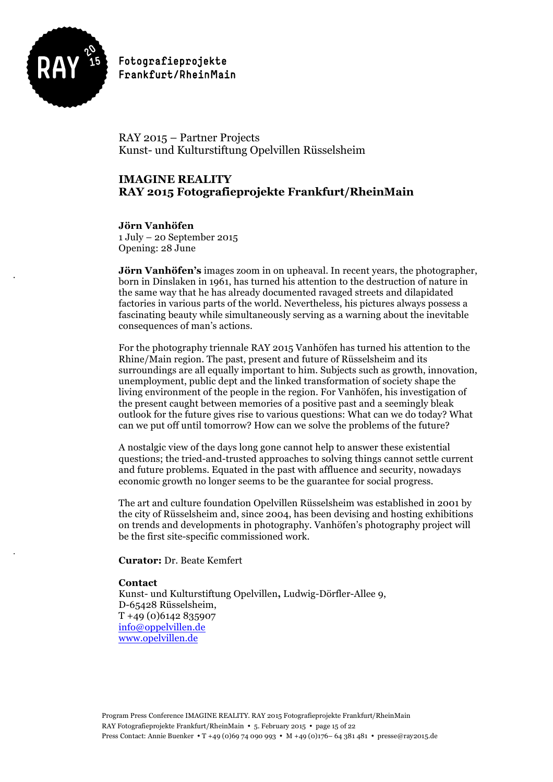

RAY 2015 – Partner Projects Kunst- und Kulturstiftung Opelvillen Rüsselsheim

# **IMAGINE REALITY RAY 2015 Fotografieprojekte Frankfurt/RheinMain**

**Jörn Vanhöfen** 1 July – 20 September 2015 Opening: 28 June

**Jörn Vanhöfen's** images zoom in on upheaval. In recent years, the photographer, born in Dinslaken in 1961, has turned his attention to the destruction of nature in the same way that he has already documented ravaged streets and dilapidated factories in various parts of the world. Nevertheless, his pictures always possess a fascinating beauty while simultaneously serving as a warning about the inevitable consequences of man's actions.

For the photography triennale RAY 2015 Vanhöfen has turned his attention to the Rhine/Main region. The past, present and future of Rüsselsheim and its surroundings are all equally important to him. Subjects such as growth, innovation, unemployment, public dept and the linked transformation of society shape the living environment of the people in the region. For Vanhöfen, his investigation of the present caught between memories of a positive past and a seemingly bleak outlook for the future gives rise to various questions: What can we do today? What can we put off until tomorrow? How can we solve the problems of the future?

A nostalgic view of the days long gone cannot help to answer these existential questions; the tried-and-trusted approaches to solving things cannot settle current and future problems. Equated in the past with affluence and security, nowadays economic growth no longer seems to be the guarantee for social progress.

The art and culture foundation Opelvillen Rüsselsheim was established in 2001 by the city of Rüsselsheim and, since 2004, has been devising and hosting exhibitions on trends and developments in photography. Vanhöfen's photography project will be the first site-specific commissioned work.

**Curator:** Dr. Beate Kemfert

#### **Contact**

Kunst- und Kulturstiftung Opelvillen**,** Ludwig-Dörfler-Allee 9, D-65428 Rüsselsheim, T +49 (0)6142 835907 info@oppelvillen.de www.opelvillen.de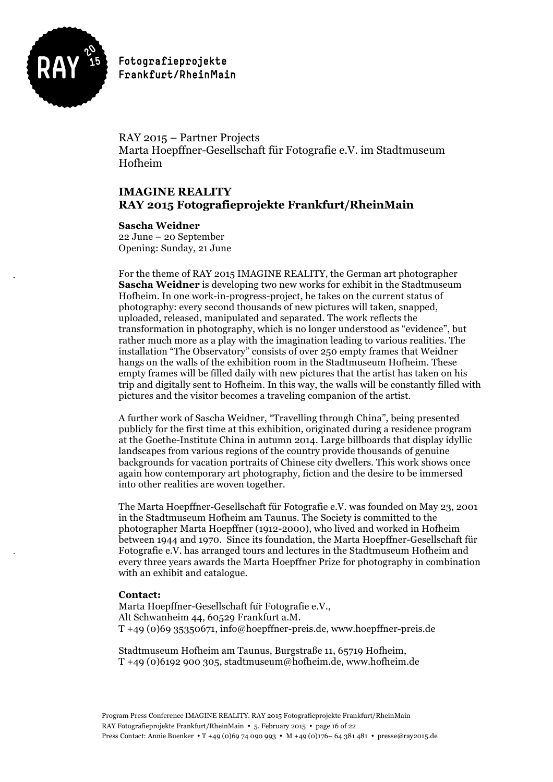

RAY 2015 – Partner Projects Marta Hoepffner-Gesellschaft für Fotografie e.V. im Stadtmuseum Hofheim

# **IMAGINE REALITY RAY 2015 Fotografieprojekte Frankfurt/RheinMain**

### **Sascha Weidner**

22 June – 20 September Opening: Sunday, 21 June

For the theme of RAY 2015 IMAGINE REALITY, the German art photographer **Sascha Weidner** is developing two new works for exhibit in the Stadtmuseum Hofheim. In one work-in-progress-project, he takes on the current status of photography: every second thousands of new pictures will taken, snapped, uploaded, released, manipulated and separated. The work reflects the transformation in photography, which is no longer understood as "evidence", but rather much more as a play with the imagination leading to various realities. The installation "The Observatory" consists of over 250 empty frames that Weidner hangs on the walls of the exhibition room in the Stadtmuseum Hofheim. These empty frames will be filled daily with new pictures that the artist has taken on his trip and digitally sent to Hofheim. In this way, the walls will be constantly filled with pictures and the visitor becomes a traveling companion of the artist.

A further work of Sascha Weidner, "Travelling through China", being presented publicly for the first time at this exhibition, originated during a residence program at the Goethe-Institute China in autumn 2014. Large billboards that display idyllic landscapes from various regions of the country provide thousands of genuine backgrounds for vacation portraits of Chinese city dwellers. This work shows once again how contemporary art photography, fiction and the desire to be immersed into other realities are woven together.

The Marta Hoepffner-Gesellschaft für Fotografie e.V. was founded on May 23, 2001 in the Stadtmuseum Hofheim am Taunus. The Society is committed to the photographer Marta Hoepffner (1912-2000), who lived and worked in Hofheim between 1944 and 1970. Since its foundation, the Marta Hoepffner-Gesellschaft für Fotografie e.V. has arranged tours and lectures in the Stadtmuseum Hofheim and every three years awards the Marta Hoepffner Prize for photography in combination with an exhibit and catalogue.

### **Contact:**

Marta Hoepffner-Gesellschaft für Fotografie e.V., Alt Schwanheim 44, 60529 Frankfurt a.M. T +49 (0)69 35350671, info@hoepffner-preis.de, www.hoepffner-preis.de

Stadtmuseum Hofheim am Taunus, Burgstraße 11, 65719 Hofheim, T +49 (0)6192 900 305, stadtmuseum@hofheim.de, www.hofheim.de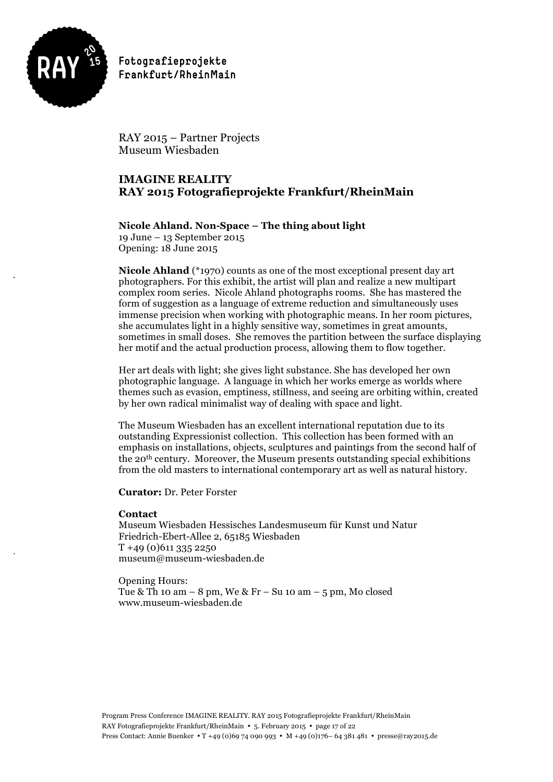

RAY 2015 – Partner Projects Museum Wiesbaden

## **IMAGINE REALITY RAY 2015 Fotografieprojekte Frankfurt/RheinMain**

### **Nicole Ahland. Non-Space – The thing about light**

19 June – 13 September 2015 Opening: 18 June 2015

**Nicole Ahland** (\*1970) counts as one of the most exceptional present day art photographers. For this exhibit, the artist will plan and realize a new multipart complex room series. Nicole Ahland photographs rooms. She has mastered the form of suggestion as a language of extreme reduction and simultaneously uses immense precision when working with photographic means. In her room pictures, she accumulates light in a highly sensitive way, sometimes in great amounts, sometimes in small doses. She removes the partition between the surface displaying her motif and the actual production process, allowing them to flow together.

Her art deals with light; she gives light substance. She has developed her own photographic language. A language in which her works emerge as worlds where themes such as evasion, emptiness, stillness, and seeing are orbiting within, created by her own radical minimalist way of dealing with space and light.

The Museum Wiesbaden has an excellent international reputation due to its outstanding Expressionist collection. This collection has been formed with an emphasis on installations, objects, sculptures and paintings from the second half of the 20th century. Moreover, the Museum presents outstanding special exhibitions from the old masters to international contemporary art as well as natural history.

**Curator:** Dr. Peter Forster

### **Contact**

Museum Wiesbaden Hessisches Landesmuseum für Kunst und Natur Friedrich-Ebert-Allee 2, 65185 Wiesbaden T +49 (0)611 335 2250 museum@museum-wiesbaden.de

Opening Hours: Tue & Th 10 am – 8 pm, We & Fr – Su 10 am – 5 pm, Mo closed www.museum-wiesbaden.de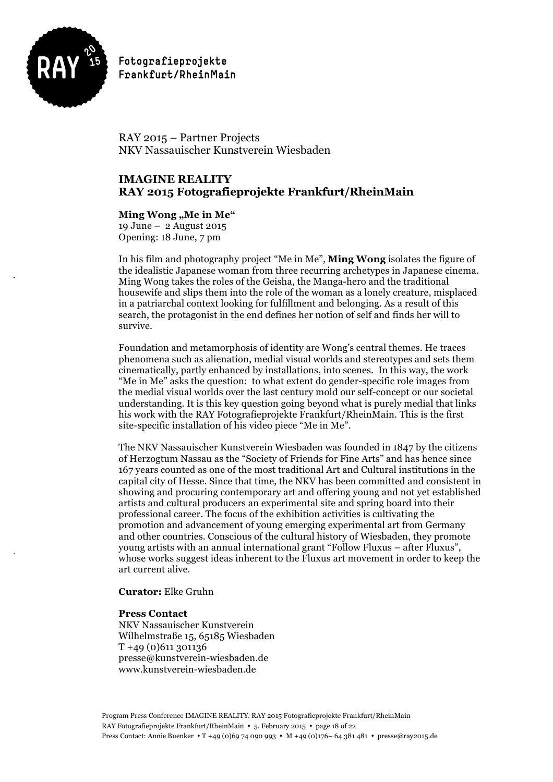

RAY 2015 – Partner Projects NKV Nassauischer Kunstverein Wiesbaden

### **IMAGINE REALITY RAY 2015 Fotografieprojekte Frankfurt/RheinMain**

### **Ming Wong "Me in Me"**

19 June – 2 August 2015 Opening: 18 June, 7 pm

In his film and photography project "Me in Me", **Ming Wong** isolates the figure of the idealistic Japanese woman from three recurring archetypes in Japanese cinema. Ming Wong takes the roles of the Geisha, the Manga-hero and the traditional housewife and slips them into the role of the woman as a lonely creature, misplaced in a patriarchal context looking for fulfillment and belonging. As a result of this search, the protagonist in the end defines her notion of self and finds her will to survive.

Foundation and metamorphosis of identity are Wong's central themes. He traces phenomena such as alienation, medial visual worlds and stereotypes and sets them cinematically, partly enhanced by installations, into scenes. In this way, the work "Me in Me" asks the question: to what extent do gender-specific role images from the medial visual worlds over the last century mold our self-concept or our societal understanding. It is this key question going beyond what is purely medial that links his work with the RAY Fotografieprojekte Frankfurt/RheinMain. This is the first site-specific installation of his video piece "Me in Me".

The NKV Nassauischer Kunstverein Wiesbaden was founded in 1847 by the citizens of Herzogtum Nassau as the "Society of Friends for Fine Arts" and has hence since 167 years counted as one of the most traditional Art and Cultural institutions in the capital city of Hesse. Since that time, the NKV has been committed and consistent in showing and procuring contemporary art and offering young and not yet established artists and cultural producers an experimental site and spring board into their professional career. The focus of the exhibition activities is cultivating the promotion and advancement of young emerging experimental art from Germany and other countries. Conscious of the cultural history of Wiesbaden, they promote young artists with an annual international grant "Follow Fluxus – after Fluxus", whose works suggest ideas inherent to the Fluxus art movement in order to keep the art current alive.

### **Curator:** Elke Gruhn

#### **Press Contact**

NKV Nassauischer Kunstverein Wilhelmstraße 15, 65185 Wiesbaden T +49 (0)611 301136 presse@kunstverein-wiesbaden.de www.kunstverein-wiesbaden.de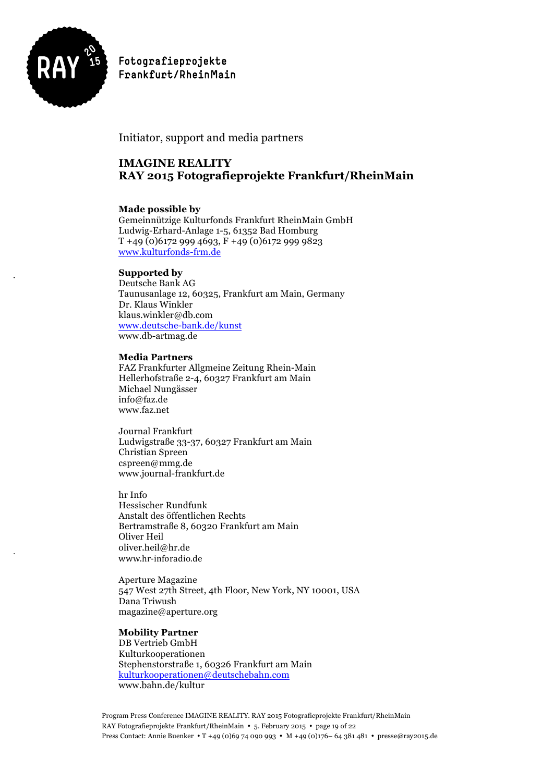

## Initiator, support and media partners

# **IMAGINE REALITY RAY 2015 Fotografieprojekte Frankfurt/RheinMain**

### **Made possible by**

Gemeinnützige Kulturfonds Frankfurt RheinMain GmbH Ludwig-Erhard-Anlage 1-5, 61352 Bad Homburg T +49 (0)6172 999 4693, F +49 (0)6172 999 9823 www.kulturfonds-frm.de

### **Supported by**

Deutsche Bank AG Taunusanlage 12, 60325, Frankfurt am Main, Germany Dr. Klaus Winkler klaus.winkler@db.com www.deutsche-bank.de/kunst www.db-artmag.de

### **Media Partners**

FAZ Frankfurter Allgmeine Zeitung Rhein-Main Hellerhofstraße 2-4, 60327 Frankfurt am Main Michael Nungässer info@faz.de www.faz.net

Journal Frankfurt Ludwigstraße 33-37, 60327 Frankfurt am Main Christian Spreen cspreen@mmg.de www.journal-frankfurt.de

hr Info Hessischer Rundfunk Anstalt des öffentlichen Rechts Bertramstraße 8, 60320 Frankfurt am Main Oliver Heil oliver.heil@hr.de www.hr-inforadio.de

Aperture Magazine 547 West 27th Street, 4th Floor, New York, NY 10001, USA Dana Triwush magazine@aperture.org

### **Mobility Partner**

DB Vertrieb GmbH Kulturkooperationen Stephenstorstraße 1, 60326 Frankfurt am Main kulturkooperationen@deutschebahn.com www.bahn.de/kultur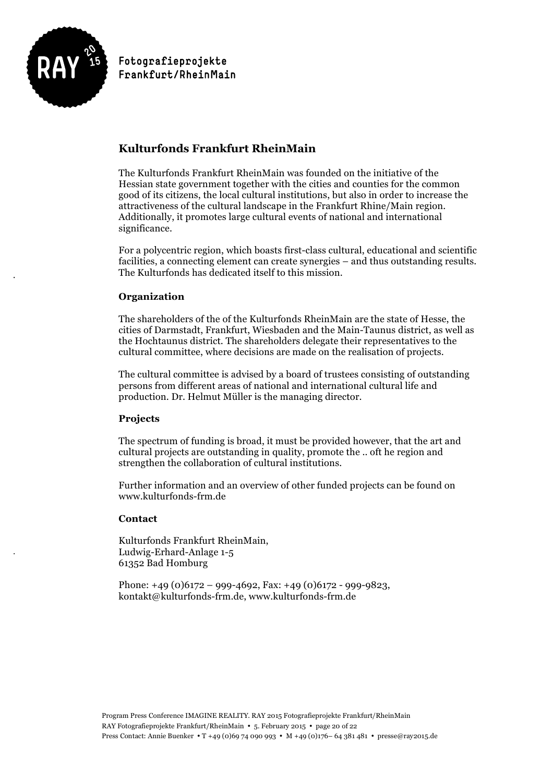

# **Kulturfonds Frankfurt RheinMain**

The Kulturfonds Frankfurt RheinMain was founded on the initiative of the Hessian state government together with the cities and counties for the common good of its citizens, the local cultural institutions, but also in order to increase the attractiveness of the cultural landscape in the Frankfurt Rhine/Main region. Additionally, it promotes large cultural events of national and international significance.

For a polycentric region, which boasts first-class cultural, educational and scientific facilities, a connecting element can create synergies – and thus outstanding results. The Kulturfonds has dedicated itself to this mission.

### **Organization**

The shareholders of the of the Kulturfonds RheinMain are the state of Hesse, the cities of Darmstadt, Frankfurt, Wiesbaden and the Main-Taunus district, as well as the Hochtaunus district. The shareholders delegate their representatives to the cultural committee, where decisions are made on the realisation of projects.

The cultural committee is advised by a board of trustees consisting of outstanding persons from different areas of national and international cultural life and production. Dr. Helmut Müller is the managing director.

### **Projects**

The spectrum of funding is broad, it must be provided however, that the art and cultural projects are outstanding in quality, promote the .. oft he region and strengthen the collaboration of cultural institutions.

Further information and an overview of other funded projects can be found on www.kulturfonds-frm.de

### **Contact**

Kulturfonds Frankfurt RheinMain, Ludwig-Erhard-Anlage 1-5 61352 Bad Homburg

Phone:  $+49(0)6172 - 999 - 4692$ , Fax:  $+49(0)6172 - 999 - 9823$ , kontakt@kulturfonds-frm.de, www.kulturfonds-frm.de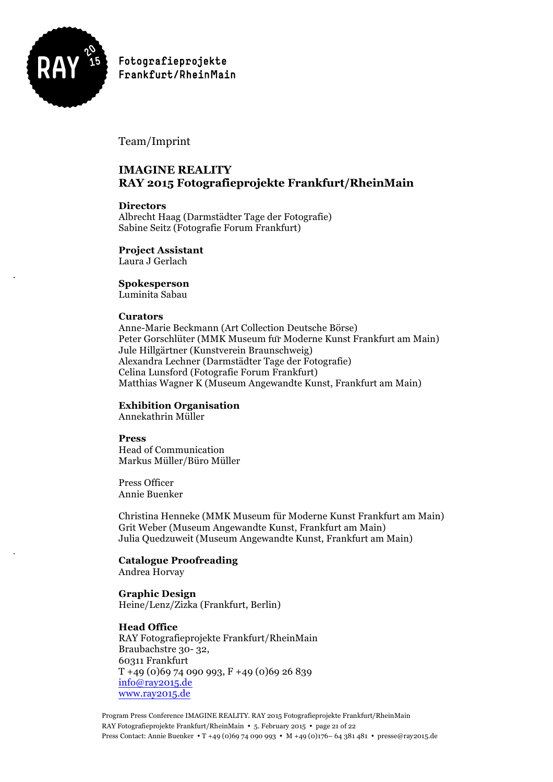

Team/Imprint

# **IMAGINE REALITY RAY 2015 Fotografieprojekte Frankfurt/RheinMain**

### **Directors**

Albrecht Haag (Darmstädter Tage der Fotografie) Sabine Seitz (Fotografie Forum Frankfurt)

**Project Assistant**

Laura J Gerlach

**Spokesperson**

Luminita Sabau

### **Curators**

Anne-Marie Beckmann (Art Collection Deutsche Börse) Peter Gorschlüter (MMK Museum für Moderne Kunst Frankfurt am Main) Jule Hillgärtner (Kunstverein Braunschweig) Alexandra Lechner (Darmstädter Tage der Fotografie) Celina Lunsford (Fotografie Forum Frankfurt) Matthias Wagner K (Museum Angewandte Kunst, Frankfurt am Main)

# **Exhibition Organisation**

Annekathrin Müller

### **Press**

Head of Communication Markus Müller/Büro Müller

Press Officer Annie Buenker

Christina Henneke (MMK Museum für Moderne Kunst Frankfurt am Main) Grit Weber (Museum Angewandte Kunst, Frankfurt am Main) Julia Quedzuweit (Museum Angewandte Kunst, Frankfurt am Main)

# **Catalogue Proofreading**

Andrea Horvay

### **Graphic Design**

Heine/Lenz/Zizka (Frankfurt, Berlin)

### **Head Office**

RAY Fotografieprojekte Frankfurt/RheinMain Braubachstre 30- 32, 60311 Frankfurt  $T + 49 (0)69 74 090 993, F + 49 (0)69 26 839$ info@ray2015.de www.ray2015.de